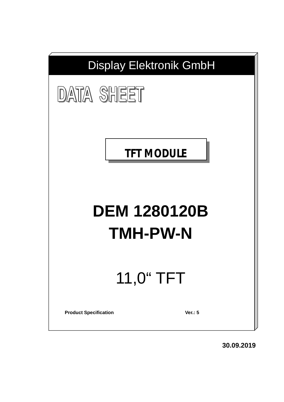

**30.09.2019**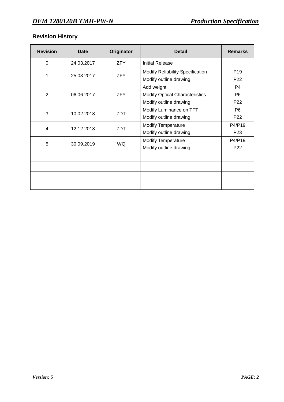# **Revision History**

| <b>Revision</b> | Date       | Originator                                                                           | <b>Detail</b>                                                     | <b>Remarks</b>                          |
|-----------------|------------|--------------------------------------------------------------------------------------|-------------------------------------------------------------------|-----------------------------------------|
| $\Omega$        | 24.03.2017 | <b>ZFY</b>                                                                           | Initial Release                                                   |                                         |
| 1               | 25.03.2017 | <b>ZFY</b>                                                                           | <b>Modify Reliability Specification</b><br>Modify outline drawing | P <sub>19</sub><br>P <sub>22</sub>      |
| $\overline{2}$  | 06.06.2017 | Add weight<br>ZFY<br><b>Modify Optical Characteristics</b><br>Modify outline drawing |                                                                   | P4<br>P <sub>6</sub><br>P <sub>22</sub> |
| 3               | 10.02.2018 | ZDT                                                                                  | Modify Luminance on TFT<br>Modify outline drawing                 | P <sub>6</sub><br>P22                   |
| $\overline{4}$  | 12.12.2018 | ZDT                                                                                  | <b>Modify Temperature</b><br>Modify outline drawing               | P4/P19<br>P <sub>23</sub>               |
| 5               | 30.09.2019 | <b>WQ</b>                                                                            | <b>Modify Temperature</b><br>Modify outline drawing               | P4/P19<br>P22                           |
|                 |            |                                                                                      |                                                                   |                                         |
|                 |            |                                                                                      |                                                                   |                                         |
|                 |            |                                                                                      |                                                                   |                                         |
|                 |            |                                                                                      |                                                                   |                                         |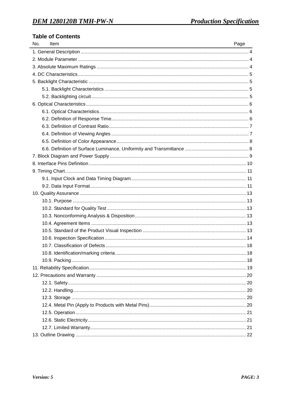## **Table of Contents**

| No.<br>Item | Page |
|-------------|------|
|             |      |
|             |      |
|             |      |
|             |      |
|             |      |
|             |      |
|             |      |
|             |      |
|             |      |
|             |      |
|             |      |
|             |      |
|             |      |
|             |      |
|             |      |
|             |      |
|             |      |
|             |      |
|             |      |
|             |      |
|             |      |
|             |      |
|             |      |
|             |      |
|             |      |
|             |      |
|             |      |
|             |      |
|             |      |
|             |      |
|             |      |
|             |      |
|             |      |
|             |      |
|             |      |
|             |      |
|             |      |
|             |      |
|             |      |

<u> 1980 - Jan Stein Stein Stein Stein Stein Stein Stein Stein Stein Stein Stein Stein Stein Stein Stein Stein S</u>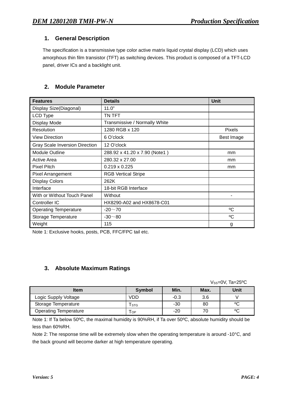## **1. General Description**

The specification is a transmissive type color active matrix liquid crystal display (LCD) which uses amorphous thin film transistor (TFT) as switching devices. This product is composed of a TFT-LCD panel, driver ICs and a backlight unit.

### **2. Module Parameter**

| <b>Features</b>                       | <b>Details</b>                | <b>Unit</b>  |
|---------------------------------------|-------------------------------|--------------|
| Display Size(Diagonal)                | 11.0"                         |              |
| LCD Type                              | TN TFT                        |              |
| Display Mode                          | Transmissive / Normally White |              |
| Resolution                            | 1280 RGB x 120                | Pixels       |
| <b>View Direction</b>                 | 6 O'clock                     | Best Image   |
| <b>Gray Scale Inversion Direction</b> | 12 O'clock                    |              |
| <b>Module Outline</b>                 | 288.92 x 41.20 x 7.90 (Note1) | mm           |
| Active Area                           | 280.32 x 27.00                | mm           |
| <b>Pixel Pitch</b>                    | $0.219 \times 0.225$          | mm           |
| <b>Pixel Arrangement</b>              | <b>RGB Vertical Stripe</b>    |              |
| <b>Display Colors</b>                 | 262K                          |              |
| Interface                             | 18-bit RGB Interface          |              |
| With or Without Touch Panel           | Without                       |              |
| Controller IC                         | HX8290-A02 and HX8678-C01     |              |
| <b>Operating Temperature</b>          | $-20 - 70$                    | $^{\circ}$ C |
| Storage Temperature                   | $-30 - 80$                    | °C           |
| Weight                                | 115                           | g            |

Note 1: Exclusive hooks, posts, PCB, FFC/FPC tail etc.

## **3. Absolute Maximum Ratings**

 $V$ ss=0V, Ta=25<sup>o</sup>C

| <b>Item</b>                  | Symbol     | Min.   | Max. | <b>Unit</b> |
|------------------------------|------------|--------|------|-------------|
| Logic Supply Voltage         | <b>VDD</b> | $-0.3$ | 3.6  |             |
| Storage Temperature          | l stg      | -30    | 80   | ٥C          |
| <b>Operating Temperature</b> | <b>OP</b>  | -20    | 70   | ٥C          |

Note 1: If Ta below 50ºC, the maximal humidity is 90%RH, if Ta over 50ºC, absolute humidity should be less than 60%RH.

Note 2: The response time will be extremely slow when the operating temperature is around -10°C, and the back ground will become darker at high temperature operating.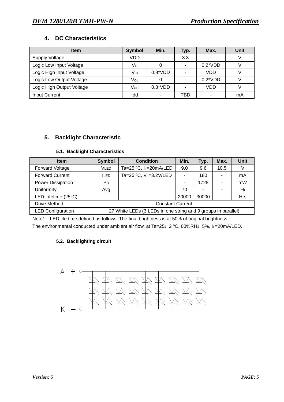## **4. DC Characteristics**

| <b>Item</b>               | <b>Symbol</b> | Min.                     | Typ. | Max.             | Unit |
|---------------------------|---------------|--------------------------|------|------------------|------|
| Supply Voltage            | VDD           | ۰                        | 3.3  |                  |      |
| Logic Low Input Voltage   | $V_{IL}$      |                          |      | $0.2^{\ast}$ VDD |      |
| Logic High Input Voltage  | Vıн           | $0.8^*VDD$               |      | VDD              |      |
| Logic Low Output Voltage  | VOL           |                          |      | $0.2^{\ast}$ VDD |      |
| Logic High Output Voltage | Vон           | $0.8^*VDD$               |      | VDD              |      |
| <b>Input Current</b>      | ldd           | $\overline{\phantom{a}}$ | TBD  |                  | mA   |

## **5. Backlight Characteristic**

#### **5.1. Backlight Characteristics**

| <b>Item</b>              | <b>Symbol</b>           | <b>Condition</b>                                              | Min.  | Typ.  | Max. | <b>Unit</b> |
|--------------------------|-------------------------|---------------------------------------------------------------|-------|-------|------|-------------|
| <b>Forward Voltage</b>   | VLED                    | Ta=25 °C, IF=20mA/LED                                         | 9.0   | 9.6   | 10.5 |             |
| <b>Forward Current</b>   | <b>ILED</b>             | Ta=25 °C, VF=3.2V/LED                                         |       | 180   |      | mA          |
| Power Dissipation        | P <sub>D</sub>          |                                                               | ٠     | 1728  |      | mW          |
| Uniformity               | Avg                     |                                                               | 70    |       |      | $\%$        |
| LED Lifetime (25°C)      |                         |                                                               | 20000 | 30000 |      | Hrs         |
| <b>Drive Method</b>      | <b>Constant Current</b> |                                                               |       |       |      |             |
| <b>LED Configuration</b> |                         | 27 White LEDs (3 LEDs in one string and 9 groups in parallel) |       |       |      |             |

Note1: LED life time defined as follows: The final brightness is at 50% of original brightness. The environmental conducted under ambient air flow, at Ta=25±2 °C, 60%RH±5%, IF=20mA/LED.

### **5.2. Backlighting circuit**

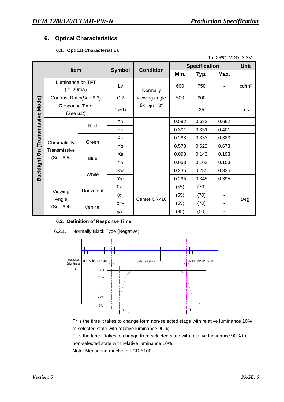## **6. Optical Characteristics**

#### **6.1. Optical Characteristics**

|                                  | Ta=25°C, VDD=3.3V               |                                      |                |                                        |       |                      |                          |                   |
|----------------------------------|---------------------------------|--------------------------------------|----------------|----------------------------------------|-------|----------------------|--------------------------|-------------------|
|                                  | <b>Item</b>                     |                                      |                |                                        |       | <b>Specification</b> |                          | <b>Unit</b>       |
|                                  |                                 |                                      | <b>Symbol</b>  | <b>Condition</b>                       | Min.  | Typ.                 | Max.                     |                   |
|                                  | Luminance on TFT<br>$(IF=20mA)$ |                                      | Lv             | Normally                               | 600   | 750                  | ٠                        | cd/m <sup>2</sup> |
|                                  | Contrast Ratio(See 6.3)         |                                      | CR             | viewing angle                          | 500   | 600                  | ٠                        |                   |
| Backlight On (Transmissive Mode) | Response Time<br>(See 6.2)      |                                      | $TR+TF$        | $\theta$ x = $\varphi$ x = $0^{\circ}$ |       | 35                   | ۰                        | ms                |
|                                  |                                 | Red                                  | X <sub>R</sub> |                                        | 0.582 | 0.632                | 0.682                    |                   |
|                                  |                                 |                                      | YR             |                                        | 0.301 | 0.351                | 0.401                    |                   |
|                                  |                                 | Green<br>Transmissive<br><b>Blue</b> | XG             |                                        | 0.283 | 0.333                | 0.383                    |                   |
|                                  | Chromaticity                    |                                      | Yg             |                                        | 0.573 | 0.623                | 0.673                    |                   |
|                                  | (See 6.5)                       |                                      | Xв             |                                        | 0.093 | 0.143                | 0.193                    |                   |
|                                  |                                 |                                      | YB             |                                        | 0.053 | 0.103                | 0.153                    |                   |
|                                  |                                 | White                                | Xw             |                                        | 0.235 | 0.285                | 0.335                    |                   |
|                                  |                                 |                                      | Yw             |                                        | 0.295 | 0.345                | 0.395                    |                   |
|                                  |                                 | Horizontal                           | $\theta$ X+    |                                        | (55)  | (70)                 |                          |                   |
|                                  | Viewing                         |                                      | $\theta$ x-    | Center CR≥10                           | (55)  | (70)                 | $\overline{\phantom{a}}$ |                   |
|                                  | Angle<br>(See 6.4)              | Vertical                             | $\phi$ Y+      |                                        | (55)  | (70)                 | $\blacksquare$           | Deg.              |
|                                  |                                 |                                      | ΦY-            |                                        | (35)  | (50)                 | ٠                        |                   |

#### **6.2. Definition of Response Time**

6.2.1. Normally Black Type (Negative)



Tr is the time it takes to change form non-selected stage with relative luminance 10% to selected state with relative luminance 90%;

Tf is the time it takes to change from selected state with relative luminance 90% to non-selected state with relative luminance 10%.

Note: Measuring machine: LCD-5100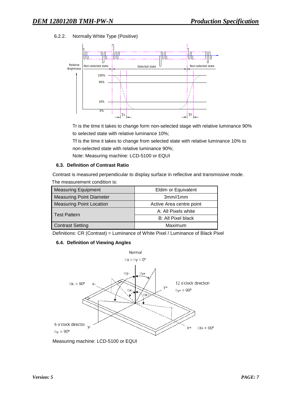6.2.2. Normally White Type (Positive)



Tr is the time it takes to change form non-selected stage with relative luminance 90% to selected state with relative luminance 10%;

Tf is the time it takes to change from selected state with relative luminance 10% to non-selected state with relative luminance 90%;

Note: Measuring machine: LCD-5100 or EQUI

#### **6.3. Definition of Contrast Ratio**

Contrast is measured perpendicular to display surface in reflective and transmissive mode. The measurement condition is:

| <b>Measuring Equipment</b>      | Eldim or Equivalent      |  |  |
|---------------------------------|--------------------------|--|--|
| <b>Measuring Point Diameter</b> | 3mm//1mm                 |  |  |
| <b>Measuring Point Location</b> | Active Area centre point |  |  |
|                                 | A: All Pixels white      |  |  |
| <b>Test Pattern</b>             | B: All Pixel black       |  |  |
| <b>Contrast Setting</b>         | Maximum                  |  |  |

Definitions: CR (Contrast) = Luminance of White Pixel / Luminance of Black Pixel

#### **6.4. Definition of Viewing Angles**



Measuring machine: LCD-5100 or EQUI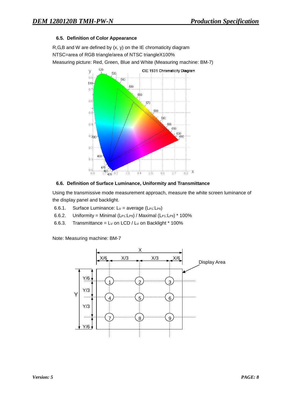#### **6.5. Definition of Color Appearance**

R,G,B and W are defined by (x, y) on the IE chromaticity diagram NTSC=area of RGB triangle/area of NTSC triangleX100% Measuring picture: Red, Green, Blue and White (Measuring machine: BM-7)



#### **6.6. Definition of Surface Luminance, Uniformity and Transmittance**

Using the transmissive mode measurement approach, measure the white screen luminance of the display panel and backlight.

- 6.6.1. Surface Luminance:  $Lv = average (L_{P1}:L_{P9})$
- 6.6.2. Uniformity = Minimal (LP1:LP9) / Maximal (LP1:LP9) \* 100%
- 6.6.3. Transmittance =  $L_V$  on LCD /  $L_V$  on Backlight  $*$  100%

Note: Measuring machine: BM-7

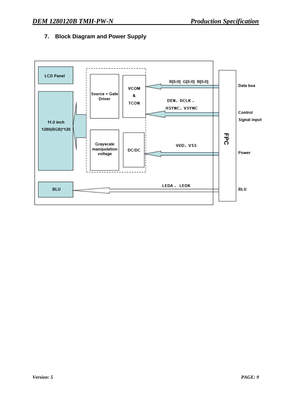## **7. Block Diagram and Power Supply**

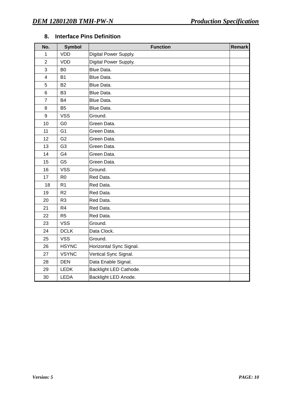| No.                     | <b>Symbol</b>  | <b>Function</b>         | <b>Remark</b> |
|-------------------------|----------------|-------------------------|---------------|
| 1                       | <b>VDD</b>     | Digital Power Supply.   |               |
| $\overline{2}$          | <b>VDD</b>     | Digital Power Supply.   |               |
| 3                       | B <sub>0</sub> | Blue Data.              |               |
| $\overline{\mathbf{4}}$ | <b>B1</b>      | Blue Data.              |               |
| 5                       | <b>B2</b>      | Blue Data.              |               |
| 6                       | B <sub>3</sub> | Blue Data.              |               |
| $\overline{7}$          | <b>B4</b>      | Blue Data.              |               |
| 8                       | <b>B5</b>      | Blue Data.              |               |
| 9                       | <b>VSS</b>     | Ground.                 |               |
| 10                      | G <sub>0</sub> | Green Data.             |               |
| 11                      | G <sub>1</sub> | Green Data.             |               |
| 12                      | G <sub>2</sub> | Green Data.             |               |
| 13                      | G <sub>3</sub> | Green Data.             |               |
| 14                      | G4             | Green Data.             |               |
| 15                      | G <sub>5</sub> | Green Data.             |               |
| 16                      | <b>VSS</b>     | Ground.                 |               |
| 17                      | R <sub>0</sub> | Red Data.               |               |
| 18                      | R <sub>1</sub> | Red Data.               |               |
| 19                      | R <sub>2</sub> | Red Data.               |               |
| 20                      | R <sub>3</sub> | Red Data.               |               |
| 21                      | R <sub>4</sub> | Red Data.               |               |
| 22                      | R <sub>5</sub> | Red Data.               |               |
| 23                      | <b>VSS</b>     | Ground.                 |               |
| 24                      | <b>DCLK</b>    | Data Clock.             |               |
| 25                      | <b>VSS</b>     | Ground.                 |               |
| 26                      | <b>HSYNC</b>   | Horizontal Sync Signal. |               |
| 27                      | <b>VSYNC</b>   | Vertical Sync Signal.   |               |
| 28                      | <b>DEN</b>     | Data Enable Signal.     |               |
| 29                      | <b>LEDK</b>    | Backlight LED Cathode.  |               |
| 30                      | <b>LEDA</b>    | Backlight LED Anode.    |               |

## **8. Interface Pins Definition**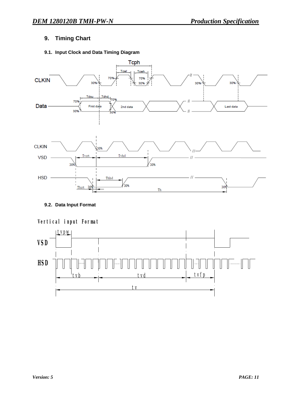## **9. Timing Chart**

## **9.1. Input Clock and Data Timing Diagram**



**9.2. Data Input Format** 



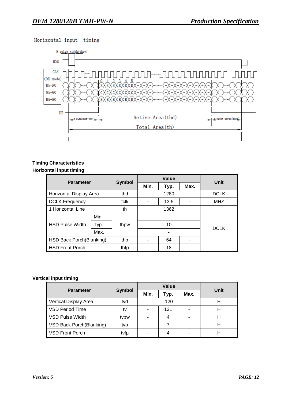



### **Timing Characteristics Horizontal input timing**

| <b>Parameter</b>         |      | <b>Symbol</b> | Value |      |  | Unit        |  |
|--------------------------|------|---------------|-------|------|--|-------------|--|
|                          |      | Min.          | Typ.  | Max. |  |             |  |
| Horizontal Display Area  |      | thd           |       | 1280 |  | <b>DCLK</b> |  |
| <b>DCLK Frequency</b>    |      | fclk          |       | 13.5 |  | <b>MHZ</b>  |  |
| 1 Horizontal Line        |      | th            |       | 1362 |  |             |  |
|                          | Min. |               |       | ۰    |  |             |  |
| <b>HSD Pulse Width</b>   | Typ. | thpw          |       | 10   |  |             |  |
|                          | Max. |               |       |      |  | <b>DCLK</b> |  |
| HSD Back Porch(Blanking) |      | thb           |       | 64   |  |             |  |
| <b>HSD Front Porch</b>   |      | thfp          |       | 18   |  |             |  |

#### **Vertical input timing**

| <b>Parameter</b>         |               |      | Value | Unit |  |
|--------------------------|---------------|------|-------|------|--|
|                          | <b>Symbol</b> | Min. | Typ.  | Max. |  |
| Vertical Display Area    | tvd           |      | 120   |      |  |
| VSD Period Time          | tv            |      | 131   |      |  |
| VSD Pulse Width          | tvpw          |      | 4     |      |  |
| VSD Back Porch(Blanking) | tyb           |      |       |      |  |
| <b>VSD Front Porch</b>   | tvfp          |      | 4     |      |  |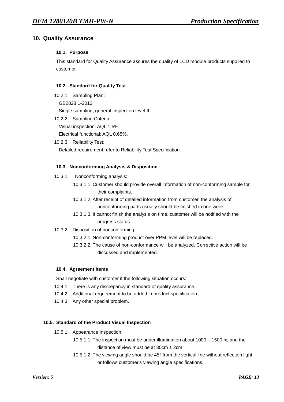### **10. Quality Assurance**

#### **10.1. Purpose**

This standard for Quality Assurance assures the quality of LCD module products supplied to customer.

#### **10.2. Standard for Quality Test**

10.2.1. Sampling Plan: GB2828.1-2012 Single sampling, general inspection level II

- 10.2.2. Sampling Criteria: Visual inspection: AQL 1.5% Electrical functional: AQL 0.65%.
- 10.2.3. Reliability Test:

Detailed requirement refer to Reliability Test Specification.

#### **10.3. Nonconforming Analysis & Disposition**

- 10.3.1. Nonconforming analysis:
	- 10.3.1.1. Customer should provide overall information of non-conforming sample for their complaints.
	- 10.3.1.2. After receipt of detailed information from customer, the analysis of nonconforming parts usually should be finished in one week.
	- 10.3.1.3. If cannot finish the analysis on time, customer will be notified with the progress status.
- 10.3.2. Disposition of nonconforming:
	- 10.3.2.1. Non-conforming product over PPM level will be replaced.
	- 10.3.2.2. The cause of non-conformance will be analyzed. Corrective action will be discussed and implemented.

#### **10.4. Agreement Items**

Shall negotiate with customer if the following situation occurs:

- 10.4.1. There is any discrepancy in standard of quality assurance.
- 10.4.2. Additional requirement to be added in product specification.
- 10.4.3. Any other special problem.

#### **10.5. Standard of the Product Visual Inspection**

- 10.5.1. Appearance inspection:
	- 10.5.1.1. The inspection must be under illumination about 1000 1500 lx, and the distance of view must be at  $30 \text{cm} \pm 2 \text{cm}$ .
	- 10.5.1.2. The viewing angle should be 45° from the vertical line without reflection light or follows customer's viewing angle specifications.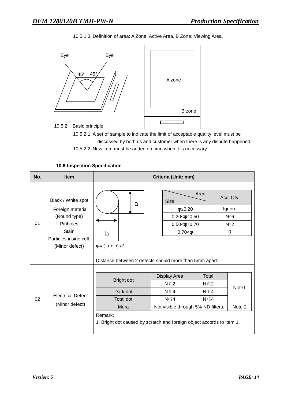10.5.1.3. Definition of area: A Zone: Active Area, B Zone: Viewing Area,



10.5.2. Basic principle:

10.5.2.1. A set of sample to indicate the limit of acceptable quality level must be discussed by both us and customer when there is any dispute happened.

10.5.2.2. New item must be added on time when it is necessary.

| No. | <b>Item</b>                                                                                                             | Criteria (Unit: mm)                                                                                                                    |                                                                                                               |                                                                    |  |  |
|-----|-------------------------------------------------------------------------------------------------------------------------|----------------------------------------------------------------------------------------------------------------------------------------|---------------------------------------------------------------------------------------------------------------|--------------------------------------------------------------------|--|--|
| 01  | Black / White spot<br>Foreign material<br>(Round type)<br>Pinholes<br>Stain<br>Particles inside cell.<br>(Minor defect) | a<br>b<br>$\varphi = (a + b)/2$<br>Distance between 2 defects should more than 5mm apart.                                              | Area<br><b>Size</b><br>$\phi \leq 0.20$<br>$0.20 < \phi \leq 0.50$<br>$0.50<\!\phi\leq 0.70$<br>$0.70 < \phi$ | Acc. Qty.<br>Ignore<br>$N\leq 6$<br>$N \leq 2$<br>0                |  |  |
| 02  | <b>Electrical Defect</b><br>(Minor defect)                                                                              | Bright dot<br>Dark dot<br><b>Total dot</b><br>Mura<br>Remark:<br>1. Bright dot caused by scratch and foreign object accords to item 1. | Display Area<br>$N \leq 2$<br>$N \leq 4$<br>$N \leq 4$<br>Not visible through 5% ND filters.                  | Total<br>$N \leq 2$<br>Note1<br>$N \leq 4$<br>$N \leq 4$<br>Note 2 |  |  |

#### **10.6.Inspection Specification**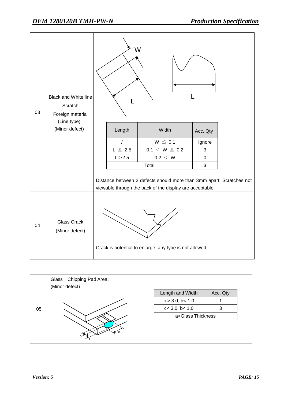| 03 | <b>Black and White line</b><br>Scratch<br>Foreign material<br>(Line type)<br>(Minor defect) | W |              |                                                                                                                                  |                |  |
|----|---------------------------------------------------------------------------------------------|---|--------------|----------------------------------------------------------------------------------------------------------------------------------|----------------|--|
|    |                                                                                             |   | Length       | Width                                                                                                                            | Acc. Qty       |  |
|    |                                                                                             |   | $\sqrt{ }$   | $W \leq 0.1$                                                                                                                     | Ignore         |  |
|    |                                                                                             |   | $L \leq 2.5$ | $0.1 \le W \le 0.2$                                                                                                              | $\mathfrak{S}$ |  |
|    |                                                                                             |   | L > 2.5      | 0.2 < W                                                                                                                          | $\mathbf 0$    |  |
|    |                                                                                             |   |              | Total                                                                                                                            | 3              |  |
|    |                                                                                             |   |              | Distance between 2 defects should more than 3mm apart. Scratches not<br>viewable through the back of the display are acceptable. |                |  |
| 04 | <b>Glass Crack</b><br>(Minor defect)                                                        |   |              | Crack is potential to enlarge, any type is not allowed.                                                                          |                |  |

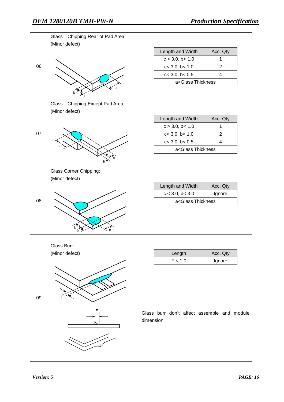|    | Chipping Rear of Pad Area:<br>Glass<br>(Minor defect) |                                                |                         |  |
|----|-------------------------------------------------------|------------------------------------------------|-------------------------|--|
|    |                                                       | Length and Width                               | Acc. Qty                |  |
|    |                                                       | c > 3.0, b < 1.0                               | 1                       |  |
| 06 |                                                       | c< 3.0, b< 1.0                                 | $\overline{2}$          |  |
|    |                                                       | $c<$ 3.0, $b<$ 0.5                             | $\overline{\mathbf{4}}$ |  |
|    |                                                       | a <glass td="" thickness<=""><td></td></glass> |                         |  |
|    |                                                       |                                                |                         |  |
|    | Chipping Except Pad Area:<br>Glass<br>(Minor defect)  |                                                |                         |  |
|    |                                                       | Length and Width                               | Acc. Qty                |  |
|    |                                                       | c > 3.0, b < 1.0                               | $\mathbf{1}$            |  |
| 07 |                                                       | $c<$ 3.0, $b<$ 1.0                             | $\overline{2}$          |  |
|    |                                                       | $c<$ 3.0, $b<$ 0.5                             | $\overline{\mathbf{4}}$ |  |
|    |                                                       | a <glass td="" thickness<=""><td></td></glass> |                         |  |
|    |                                                       |                                                |                         |  |
|    | <b>Glass Corner Chipping:</b>                         |                                                |                         |  |
|    | (Minor defect)                                        | Length and Width                               | Acc. Qty                |  |
|    |                                                       | c < 3.0, b < 3.0                               | Ignore                  |  |
| 08 |                                                       | a <glass td="" thickness<=""></glass>          |                         |  |
|    |                                                       |                                                |                         |  |
|    | Glass Burr:                                           |                                                |                         |  |
|    | (Minor defect)                                        | Length                                         | Acc. Qty                |  |
|    |                                                       | F < 1.0                                        | Ignore                  |  |
|    |                                                       |                                                |                         |  |
| 09 |                                                       | Glass burr don't affect assemble and module    |                         |  |
|    |                                                       | dimension.                                     |                         |  |
|    |                                                       |                                                |                         |  |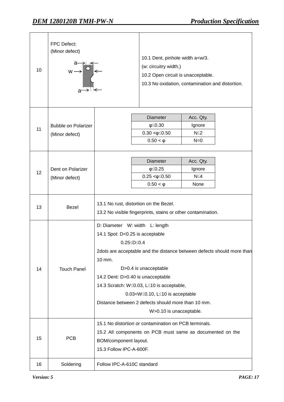| 10 | FPC Defect:<br>(Minor defect)<br>$\begin{picture}(130,10) \put(0,0){\line(1,0){10}} \put(15,0){\line(1,0){10}} \put(15,0){\line(1,0){10}} \put(15,0){\line(1,0){10}} \put(15,0){\line(1,0){10}} \put(15,0){\line(1,0){10}} \put(15,0){\line(1,0){10}} \put(15,0){\line(1,0){10}} \put(15,0){\line(1,0){10}} \put(15,0){\line(1,0){10}} \put(15,0){\line(1,0){10}} \put(15,0){\line($ |                                                                                                                                                                                                                                                                                                                                                                                                                                        | 10.1 Dent, pinhole width a <w 3.<br="">(w: circuitry width.)<br/>10.2 Open circuit is unacceptable.<br/>10.3 No oxidation, contamination and distortion.</w> |                                            |  |
|----|--------------------------------------------------------------------------------------------------------------------------------------------------------------------------------------------------------------------------------------------------------------------------------------------------------------------------------------------------------------------------------------|----------------------------------------------------------------------------------------------------------------------------------------------------------------------------------------------------------------------------------------------------------------------------------------------------------------------------------------------------------------------------------------------------------------------------------------|--------------------------------------------------------------------------------------------------------------------------------------------------------------|--------------------------------------------|--|
| 11 | <b>Bubble on Polarizer</b><br>(Minor defect)                                                                                                                                                                                                                                                                                                                                         |                                                                                                                                                                                                                                                                                                                                                                                                                                        | <b>Diameter</b><br>$\phi \leq 0.30$<br>$0.30 < \phi \leq 0.50$<br>$0.50 < \phi$                                                                              | Acc. Qty.<br>Ignore<br>$N \leq 2$<br>$N=0$ |  |
| 12 | Dent on Polarizer<br>(Minor defect)                                                                                                                                                                                                                                                                                                                                                  |                                                                                                                                                                                                                                                                                                                                                                                                                                        | <b>Diameter</b><br>$\phi \leq 0.25$<br>$0.25 < \phi \leq 0.50$<br>$0.50 < \phi$                                                                              | Acc. Qty.<br>Ignore<br>$N \leq 4$<br>None  |  |
| 13 | <b>Bezel</b>                                                                                                                                                                                                                                                                                                                                                                         | 13.1 No rust, distortion on the Bezel.<br>13.2 No visible fingerprints, stains or other contamination.                                                                                                                                                                                                                                                                                                                                 |                                                                                                                                                              |                                            |  |
| 14 | <b>Touch Panel</b>                                                                                                                                                                                                                                                                                                                                                                   | D: Diameter W: width L: length<br>14.1 Spot: D<0.25 is acceptable<br>$0.25 \leq D \leq 0.4$<br>2dots are acceptable and the distance between defects should more than<br>10 mm.<br>D>0.4 is unacceptable<br>14.2 Dent: D>0.40 is unacceptable<br>14.3 Scratch: W≤0.03, L≤10 is acceptable,<br>0.03 <w≤0.10, acceptable<br="" is="" l≤10="">Distance between 2 defects should more than 10 mm.<br/>W&gt;0.10 is unacceptable.</w≤0.10,> |                                                                                                                                                              |                                            |  |
| 15 | <b>PCB</b>                                                                                                                                                                                                                                                                                                                                                                           | 15.1 No distortion or contamination on PCB terminals.<br>15.2 All components on PCB must same as documented on the<br>BOM/component layout.<br>15.3 Follow IPC-A-600F.                                                                                                                                                                                                                                                                 |                                                                                                                                                              |                                            |  |
| 16 | Soldering                                                                                                                                                                                                                                                                                                                                                                            | Follow IPC-A-610C standard                                                                                                                                                                                                                                                                                                                                                                                                             |                                                                                                                                                              |                                            |  |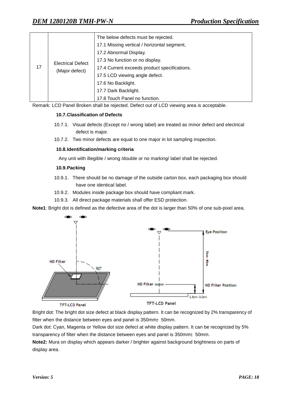| 17 | <b>Electrical Defect</b><br>(Major defect) | The below defects must be rejected.          |
|----|--------------------------------------------|----------------------------------------------|
|    |                                            | 17.1 Missing vertical / horizontal segment,  |
|    |                                            | 17.2 Abnormal Display.                       |
|    |                                            | 17.3 No function or no display.              |
|    |                                            | 17.4 Current exceeds product specifications. |
|    |                                            | 17.5 LCD viewing angle defect.               |
|    |                                            | 17.6 No Backlight.                           |
|    |                                            | 17.7 Dark Backlight.                         |
|    |                                            | 17.8 Touch Panel no function.                |

Remark: LCD Panel Broken shall be rejected. Defect out of LCD viewing area is acceptable.

#### **10.7.Classification of Defects**

- 10.7.1. Visual defects (Except no / wrong label) are treated as minor defect and electrical defect is major.
- 10.7.2. Two minor defects are equal to one major in lot sampling inspection.

#### **10.8.Identification/marking criteria**

Any unit with illegible / wrong /double or no marking/ label shall be rejected.

#### **10.9.Packing**

- 10.9.1. There should be no damage of the outside carton box, each packaging box should have one identical label.
- 10.9.2. Modules inside package box should have compliant mark.
- 10.9.3. All direct package materials shall offer ESD protection.

**Note1**: Bright dot is defined as the defective area of the dot is larger than 50% of one sub-pixel area.



Bright dot: The bright dot size defect at black display pattern. It can be recognized by 2% transparency of filter when the distance between eyes and panel is 350mm±50mm.

Dark dot: Cyan, Magenta or Yellow dot size defect at white display pattern. It can be recognized by 5% transparency of filter when the distance between eyes and panel is 350mm $\pm$ 50mm.

**Note2:** Mura on display which appears darker / brighter against background brightness on parts of display area.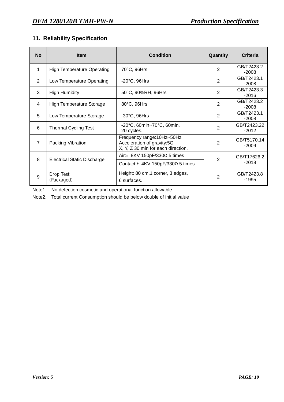## **11. Reliability Specification**

| <b>No</b>      | <b>Item</b>                        | <b>Condition</b>                                                                               | Quantity       | <b>Criteria</b>        |
|----------------|------------------------------------|------------------------------------------------------------------------------------------------|----------------|------------------------|
| 1              | <b>High Temperature Operating</b>  | 70°C, 96Hrs                                                                                    | $\overline{2}$ | GB/T2423.2<br>$-2008$  |
| 2              | Low Temperature Operating          | $-20^{\circ}$ C, 96Hrs                                                                         | $\overline{2}$ | GB/T2423.1<br>$-2008$  |
| 3              | <b>High Humidity</b>               | 50°C, 90%RH, 96Hrs                                                                             | $\overline{2}$ | GB/T2423.3<br>$-2016$  |
| 4              | <b>High Temperature Storage</b>    | 80°C, 96Hrs                                                                                    | $\overline{2}$ | GB/T2423.2<br>$-2008$  |
| 5              | Low Temperature Storage            | $-30^{\circ}$ C, 96Hrs                                                                         | $\overline{2}$ | GB/T2423.1<br>$-2008$  |
| 6              | <b>Thermal Cycling Test</b>        | -20°C, 60min~70°C, 60min,<br>20 cycles.                                                        | $\overline{2}$ | GB/T2423.22<br>$-2012$ |
| $\overline{7}$ | Packing Vibration                  | Frequency range: 10Hz~50Hz<br>Acceleration of gravity:5G<br>X, Y, Z 30 min for each direction. | 2              | GB/T5170.14<br>$-2009$ |
| 8              | <b>Electrical Static Discharge</b> | Air: $\pm$ 8KV 150pF/330 $\Omega$ 5 times                                                      | $\mathbf{2}$   | GB/T17626.2<br>$-2018$ |
|                |                                    | Contact: ±4KV 150pF/330Ω 5 times                                                               |                |                        |
| 9              | Drop Test<br>(Packaged)            | Height: 80 cm, 1 corner, 3 edges,<br>6 surfaces.                                               | $\overline{2}$ | GB/T2423.8<br>$-1995$  |

Note1. No defection cosmetic and operational function allowable.

Note2. Total current Consumption should be below double of initial value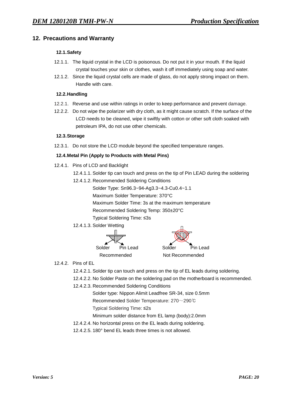## **12. Precautions and Warranty**

#### **12.1.Safety**

- 12.1.1. The liquid crystal in the LCD is poisonous. Do not put it in your mouth. If the liquid crystal touches your skin or clothes, wash it off immediately using soap and water.
- 12.1.2. Since the liquid crystal cells are made of glass, do not apply strong impact on them. Handle with care.

#### **12.2.Handling**

- 12.2.1. Reverse and use within ratings in order to keep performance and prevent damage.
- 12.2.2. Do not wipe the polarizer with dry cloth, as it might cause scratch. If the surface of the LCD needs to be cleaned, wipe it swiftly with cotton or other soft cloth soaked with petroleum IPA, do not use other chemicals.

#### **12.3.Storage**

12.3.1. Do not store the LCD module beyond the specified temperature ranges.

#### **12.4.Metal Pin (Apply to Products with Metal Pins)**

- 12.4.1. Pins of LCD and Backlight
	- 12.4.1.1. Solder tip can touch and press on the tip of Pin LEAD during the soldering
	- 12.4.1.2. Recommended Soldering Conditions
		- Solder Type: Sn96.3~94-Ag3.3~4.3-Cu0.4~1.1
		- Maximum Solder Temperature: 370°C
		- Maximum Solder Time: 3s at the maximum temperature
		- Recommended Soldering Temp: 350±20°C
		- Typical Soldering Time: ≤3s
	- 12.4.1.3. Solder Wetting





- 12.4.2. Pins of EL
	- 12.4.2.1. Solder tip can touch and press on the tip of EL leads during soldering.
	- 12.4.2.2. No Solder Paste on the soldering pad on the motherboard is recommended.
	- 12.4.2.3. Recommended Soldering Conditions
		- Solder type: Nippon Alimit Leadfree SR-34, size 0.5mm
		- Recommended Solder Temperature: 270~290℃
		- Typical Soldering Time: ≤2s
		- Minimum solder distance from EL lamp (body):2.0mm
	- 12.4.2.4. No horizontal press on the EL leads during soldering.
	- 12.4.2.5. 180° bend EL leads three times is not allowed.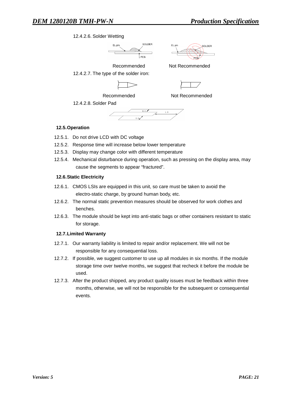#### 12.4.2.6. Solder Wetting





Recommended Not Recommended 12.4.2.7. The type of the solder iron:



12.4.2.8. Solder Pad



#### **12.5.Operation**

- 12.5.1. Do not drive LCD with DC voltage
- 12.5.2. Response time will increase below lower temperature
- 12.5.3. Display may change color with different temperature
- 12.5.4. Mechanical disturbance during operation, such as pressing on the display area, may cause the segments to appear "fractured".

#### **12.6.Static Electricity**

- 12.6.1. CMOS LSIs are equipped in this unit, so care must be taken to avoid the electro-static charge, by ground human body, etc.
- 12.6.2. The normal static prevention measures should be observed for work clothes and benches.
- 12.6.3. The module should be kept into anti-static bags or other containers resistant to static for storage.

#### **12.7.Limited Warranty**

- 12.7.1. Our warranty liability is limited to repair and/or replacement. We will not be responsible for any consequential loss.
- 12.7.2. If possible, we suggest customer to use up all modules in six months. If the module storage time over twelve months, we suggest that recheck it before the module be used.
- 12.7.3. After the product shipped, any product quality issues must be feedback within three months, otherwise, we will not be responsible for the subsequent or consequential events.